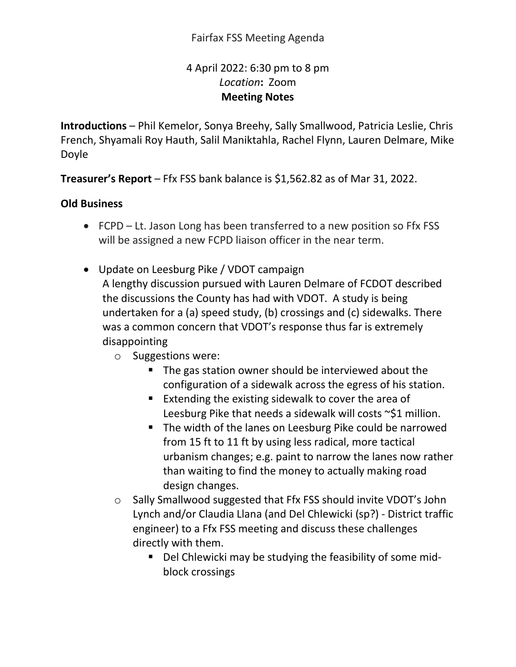## Fairfax FSS Meeting Agenda

## 4 April 2022: 6:30 pm to 8 pm *Location***:** Zoom **Meeting Notes**

**Introductions** – Phil Kemelor, Sonya Breehy, Sally Smallwood, Patricia Leslie, Chris French, Shyamali Roy Hauth, Salil Maniktahla, Rachel Flynn, Lauren Delmare, Mike Doyle

**Treasurer's Report** – Ffx FSS bank balance is \$1,562.82 as of Mar 31, 2022.

## **Old Business**

- FCPD Lt. Jason Long has been transferred to a new position so Ffx FSS will be assigned a new FCPD liaison officer in the near term.
- Update on Leesburg Pike / VDOT campaign A lengthy discussion pursued with Lauren Delmare of FCDOT described the discussions the County has had with VDOT. A study is being undertaken for a (a) speed study, (b) crossings and (c) sidewalks. There was a common concern that VDOT's response thus far is extremely disappointing
	- o Suggestions were:
		- The gas station owner should be interviewed about the configuration of a sidewalk across the egress of his station.
		- **Extending the existing sidewalk to cover the area of** Leesburg Pike that needs a sidewalk will costs ~\$1 million.
		- The width of the lanes on Leesburg Pike could be narrowed from 15 ft to 11 ft by using less radical, more tactical urbanism changes; e.g. paint to narrow the lanes now rather than waiting to find the money to actually making road design changes.
	- o Sally Smallwood suggested that Ffx FSS should invite VDOT's John Lynch and/or Claudia Llana (and Del Chlewicki (sp?) - District traffic engineer) to a Ffx FSS meeting and discuss these challenges directly with them.
		- Del Chlewicki may be studying the feasibility of some midblock crossings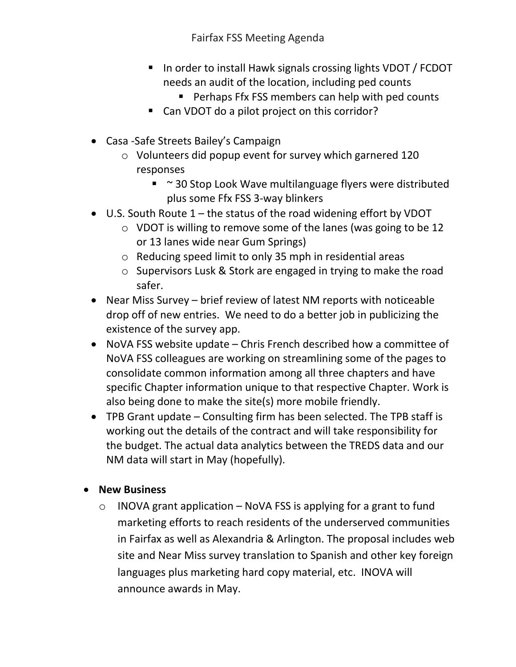Fairfax FSS Meeting Agenda

- In order to install Hawk signals crossing lights VDOT / FCDOT needs an audit of the location, including ped counts
	- **Perhaps Ffx FSS members can help with ped counts**
- Can VDOT do a pilot project on this corridor?
- Casa -Safe Streets Bailey's Campaign
	- o Volunteers did popup event for survey which garnered 120 responses
		- ~ 30 Stop Look Wave multilanguage flyers were distributed plus some Ffx FSS 3-way blinkers
- U.S. South Route 1 the status of the road widening effort by VDOT
	- o VDOT is willing to remove some of the lanes (was going to be 12 or 13 lanes wide near Gum Springs)
	- o Reducing speed limit to only 35 mph in residential areas
	- o Supervisors Lusk & Stork are engaged in trying to make the road safer.
- Near Miss Survey brief review of latest NM reports with noticeable drop off of new entries. We need to do a better job in publicizing the existence of the survey app.
- NoVA FSS website update Chris French described how a committee of NoVA FSS colleagues are working on streamlining some of the pages to consolidate common information among all three chapters and have specific Chapter information unique to that respective Chapter. Work is also being done to make the site(s) more mobile friendly.
- TPB Grant update Consulting firm has been selected. The TPB staff is working out the details of the contract and will take responsibility for the budget. The actual data analytics between the TREDS data and our NM data will start in May (hopefully).
- **New Business** 
	- $\circ$  INOVA grant application NoVA FSS is applying for a grant to fund marketing efforts to reach residents of the underserved communities in Fairfax as well as Alexandria & Arlington. The proposal includes web site and Near Miss survey translation to Spanish and other key foreign languages plus marketing hard copy material, etc. INOVA will announce awards in May.